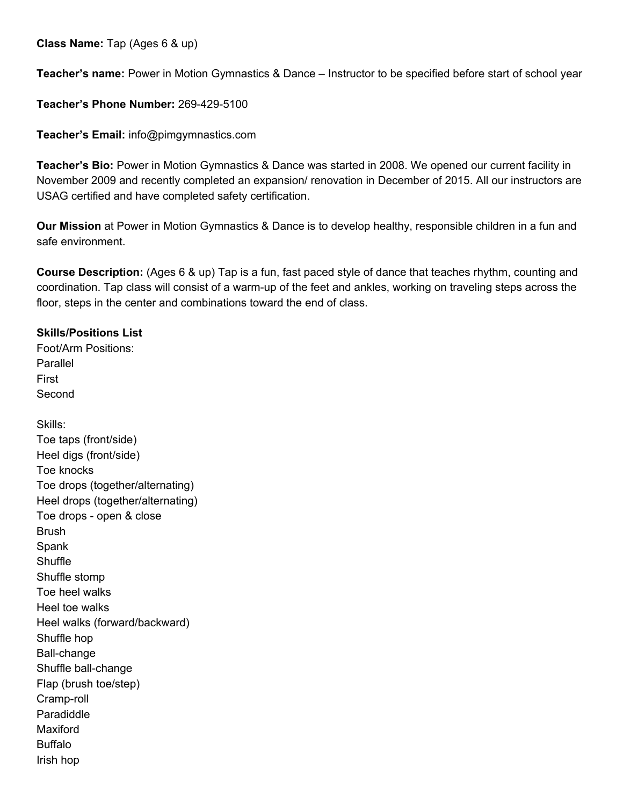**Class Name:** Tap (Ages 6 & up)

**Teacher's name:** Power in Motion Gymnastics & Dance – Instructor to be specified before start of school year

**Teacher's Phone Number:** 269-429-5100

**Teacher's Email:** info@pimgymnastics.com

**Teacher's Bio:** Power in Motion Gymnastics & Dance was started in 2008. We opened our current facility in November 2009 and recently completed an expansion/ renovation in December of 2015. All our instructors are USAG certified and have completed safety certification.

**Our Mission** at Power in Motion Gymnastics & Dance is to develop healthy, responsible children in a fun and safe environment.

**Course Description:** (Ages 6 & up) Tap is a fun, fast paced style of dance that teaches rhythm, counting and coordination. Tap class will consist of a warm-up of the feet and ankles, working on traveling steps across the floor, steps in the center and combinations toward the end of class.

## **Skills/Positions List**

Foot/Arm Positions: Parallel First Second

Skills: Toe taps (front/side) Heel digs (front/side) Toe knocks Toe drops (together/alternating) Heel drops (together/alternating) Toe drops - open & close **Brush** Spank **Shuffle** Shuffle stomp Toe heel walks Heel toe walks Heel walks (forward/backward) Shuffle hop Ball-change Shuffle ball-change Flap (brush toe/step) Cramp-roll Paradiddle Maxiford Buffalo Irish hop